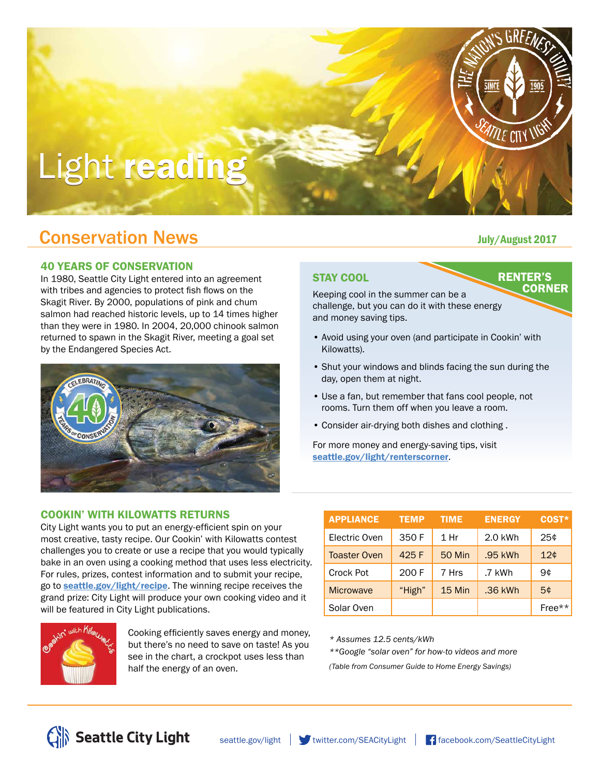# Light reading

# **Conservation News Conservation News**

#### 40 YEARS OF CONSERVATION

In 1980, Seattle City Light entered into an agreement with tribes and agencies to protect fish flows on the Skagit River. By 2000, populations of pink and chum salmon had reached historic levels, up to 14 times higher than they were in 1980. In 2004, 20,000 chinook salmon returned to spawn in the Skagit River, meeting a goal set by the Endangered Species Act.



### COOKIN' WITH KILOWATTS RETURNS

City Light wants you to put an energy-efficient spin on your most creative, tasty recipe. Our Cookin' with Kilowatts contest challenges you to create or use a recipe that you would typically bake in an oven using a cooking method that uses less electricity. For rules, prizes, contest information and to submit your recipe, go to **seattle.gov/light/recipe**. The winning recipe receives the grand prize: City Light will produce your own cooking video and it will be featured in City Light publications.



Cooking efficiently saves energy and money, but there's no need to save on taste! As you see in the chart, a crockpot uses less than half the energy of an oven.

| <b>APPLIANCE</b>    | <b>TEMP</b> | <b>TIME</b>   | <b>ENERGY</b> | COST*  |
|---------------------|-------------|---------------|---------------|--------|
| Electric Oven       | 350 F       | $1$ Hr        | 2.0 kWh       | 25¢    |
| <b>Toaster Oven</b> | 425 F       | <b>50 Min</b> | .95 kWh       | 12¢    |
| Crock Pot           | 200 F       | 7 Hrs         | .7 kWh        | 9¢     |
| <b>Microwave</b>    | "High"      | 15 Min        | .36 kWh       | 5¢     |
| Solar Oven          |             |               |               | Free** |

*\* Assumes 12.5 cents/kWh*

*\*\*Google "solar oven" for how-to videos and more (Table from Consumer Guide to Home Energy Savings)*

**RENTER'S** 

**CORNER** 

*INE CITY V* 

STAY COOL

Keeping cool in the summer can be a challenge, but you can do it with these energy and money saving tips.

- Avoid using your oven (and participate in Cookin' with Kilowatts).
- Shut your windows and blinds facing the sun during the day, open them at night.
- Use a fan, but remember that fans cool people, not rooms. Turn them off when you leave a room.
- Consider air-drying both dishes and clothing .

For more money and energy-saving tips, visit seattle.gov/light/renterscorner.

Seattle City Light